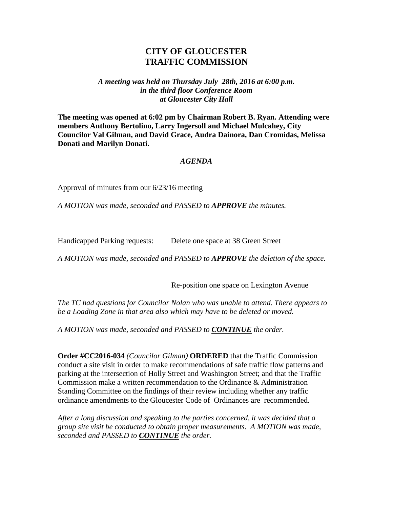## **CITY OF GLOUCESTER TRAFFIC COMMISSION**

*A meeting was held on Thursday July 28th, 2016 at 6:00 p.m. in the third floor Conference Room at Gloucester City Hall*

**The meeting was opened at 6:02 pm by Chairman Robert B. Ryan. Attending were members Anthony Bertolino, Larry Ingersoll and Michael Mulcahey, City Councilor Val Gilman, and David Grace, Audra Dainora, Dan Cromidas, Melissa Donati and Marilyn Donati.**

## *AGENDA*

Approval of minutes from our 6/23/16 meeting

*A MOTION was made, seconded and PASSED to APPROVE the minutes.*

Handicapped Parking requests: Delete one space at 38 Green Street

*A MOTION was made, seconded and PASSED to APPROVE the deletion of the space.*

Re-position one space on Lexington Avenue

*The TC had questions for Councilor Nolan who was unable to attend. There appears to be a Loading Zone in that area also which may have to be deleted or moved.*

*A MOTION was made, seconded and PASSED to CONTINUE the order.*

**Order #CC2016-034** *(Councilor Gilman)* **ORDERED** that the Traffic Commission conduct a site visit in order to make recommendations of safe traffic flow patterns and parking at the intersection of Holly Street and Washington Street; and that the Traffic Commission make a written recommendation to the Ordinance & Administration Standing Committee on the findings of their review including whether any traffic ordinance amendments to the Gloucester Code of Ordinances are recommended.

*After a long discussion and speaking to the parties concerned, it was decided that a group site visit be conducted to obtain proper measurements. A MOTION was made, seconded and PASSED to CONTINUE the order.*